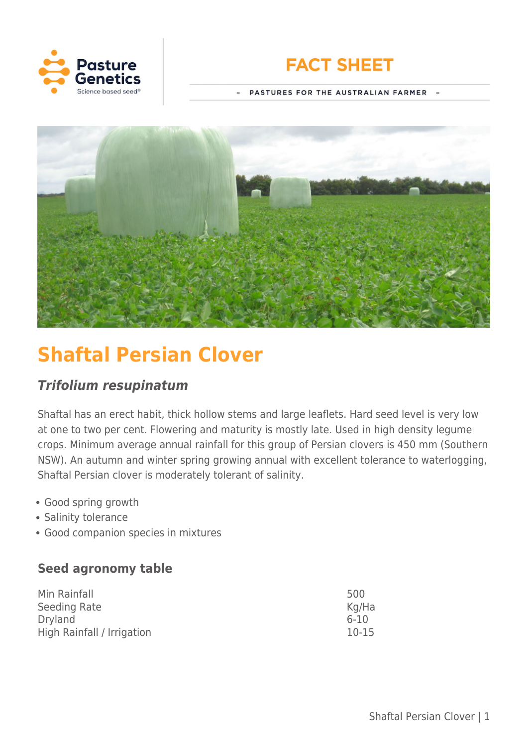



PASTURES FOR THE AUSTRALIAN FARMER -



# **Shaftal Persian Clover**

# *Trifolium resupinatum*

Shaftal has an erect habit, thick hollow stems and large leaflets. Hard seed level is very low at one to two per cent. Flowering and maturity is mostly late. Used in high density legume crops. Minimum average annual rainfall for this group of Persian clovers is 450 mm (Southern NSW). An autumn and winter spring growing annual with excellent tolerance to waterlogging, Shaftal Persian clover is moderately tolerant of salinity.

- Good spring growth
- Salinity tolerance
- Good companion species in mixtures

# **Seed agronomy table**

| Min Rainfall               | 500       |
|----------------------------|-----------|
| Seeding Rate               | Kg/Ha     |
| <b>Dryland</b>             | $6 - 10$  |
| High Rainfall / Irrigation | $10 - 15$ |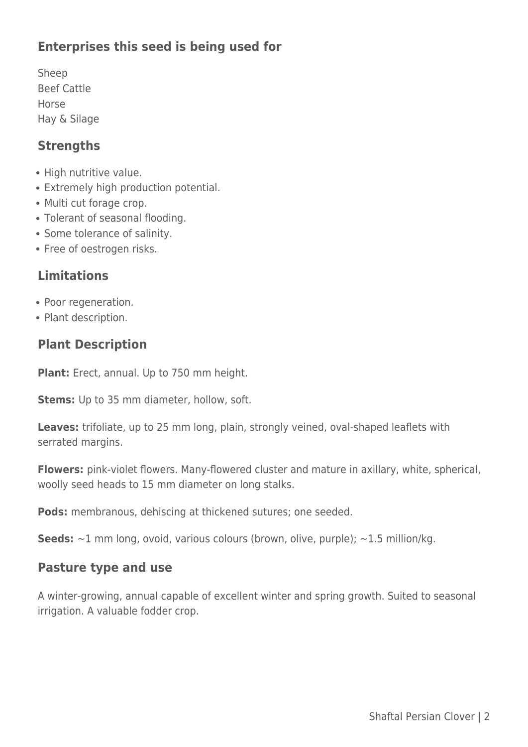# **Enterprises this seed is being used for**

Sheep Beef Cattle Horse Hay & Silage

#### **Strengths**

- High nutritive value.
- Extremely high production potential.
- Multi cut forage crop.
- Tolerant of seasonal flooding.
- Some tolerance of salinity.
- Free of oestrogen risks.

# **Limitations**

- Poor regeneration.
- Plant description.

# **Plant Description**

**Plant:** Erect, annual. Up to 750 mm height.

**Stems:** Up to 35 mm diameter, hollow, soft.

Leaves: trifoliate, up to 25 mm long, plain, strongly veined, oval-shaped leaflets with serrated margins.

**Flowers:** pink-violet flowers. Many-flowered cluster and mature in axillary, white, spherical, woolly seed heads to 15 mm diameter on long stalks.

**Pods:** membranous, dehiscing at thickened sutures; one seeded.

**Seeds:** ~1 mm long, ovoid, various colours (brown, olive, purple); ~1.5 million/kg.

#### **Pasture type and use**

A winter-growing, annual capable of excellent winter and spring growth. Suited to seasonal irrigation. A valuable fodder crop.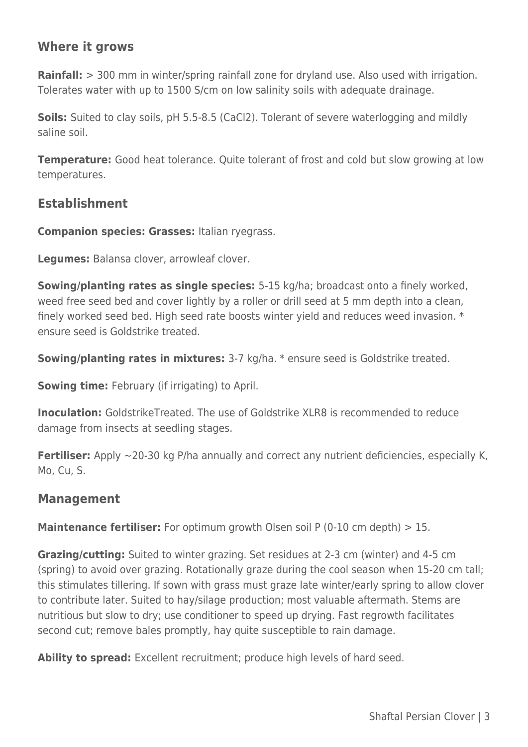# **Where it grows**

**Rainfall:** > 300 mm in winter/spring rainfall zone for dryland use. Also used with irrigation. Tolerates water with up to 1500 S/cm on low salinity soils with adequate drainage.

**Soils:** Suited to clay soils, pH 5.5-8.5 (CaCl2). Tolerant of severe waterlogging and mildly saline soil.

**Temperature:** Good heat tolerance. Quite tolerant of frost and cold but slow growing at low temperatures.

#### **Establishment**

**Companion species: Grasses:** Italian ryegrass.

**Legumes:** Balansa clover, arrowleaf clover.

**Sowing/planting rates as single species:** 5-15 kg/ha; broadcast onto a finely worked, weed free seed bed and cover lightly by a roller or drill seed at 5 mm depth into a clean, finely worked seed bed. High seed rate boosts winter yield and reduces weed invasion. \* ensure seed is Goldstrike treated.

**Sowing/planting rates in mixtures:** 3-7 kg/ha. \* ensure seed is Goldstrike treated.

**Sowing time:** February (if irrigating) to April.

**Inoculation:** GoldstrikeTreated. The use of Goldstrike XLR8 is recommended to reduce damage from insects at seedling stages.

**Fertiliser:** Apply ~20-30 kg P/ha annually and correct any nutrient deficiencies, especially K, Mo, Cu, S.

#### **Management**

**Maintenance fertiliser:** For optimum growth Olsen soil P (0-10 cm depth) > 15.

**Grazing/cutting:** Suited to winter grazing. Set residues at 2-3 cm (winter) and 4-5 cm (spring) to avoid over grazing. Rotationally graze during the cool season when 15-20 cm tall; this stimulates tillering. If sown with grass must graze late winter/early spring to allow clover to contribute later. Suited to hay/silage production; most valuable aftermath. Stems are nutritious but slow to dry; use conditioner to speed up drying. Fast regrowth facilitates second cut; remove bales promptly, hay quite susceptible to rain damage.

**Ability to spread:** Excellent recruitment; produce high levels of hard seed.